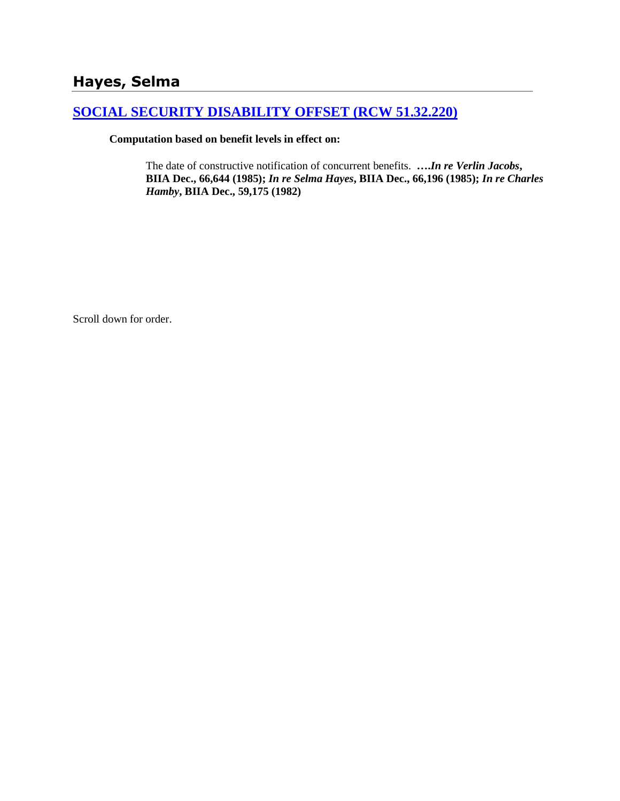# **Hayes, Selma**

## **[SOCIAL SECURITY DISABILITY OFFSET \(RCW 51.32.220\)](http://www.biia.wa.gov/SDSubjectIndex.html#SOCIAL_SECURITY_DISABILITY_OFFSET)**

**Computation based on benefit levels in effect on:**

The date of constructive notification of concurrent benefits. **….***In re Verlin Jacobs***, BIIA Dec., 66,644 (1985);** *In re Selma Hayes***, BIIA Dec., 66,196 (1985);** *In re Charles Hamby***, BIIA Dec., 59,175 (1982)**

Scroll down for order.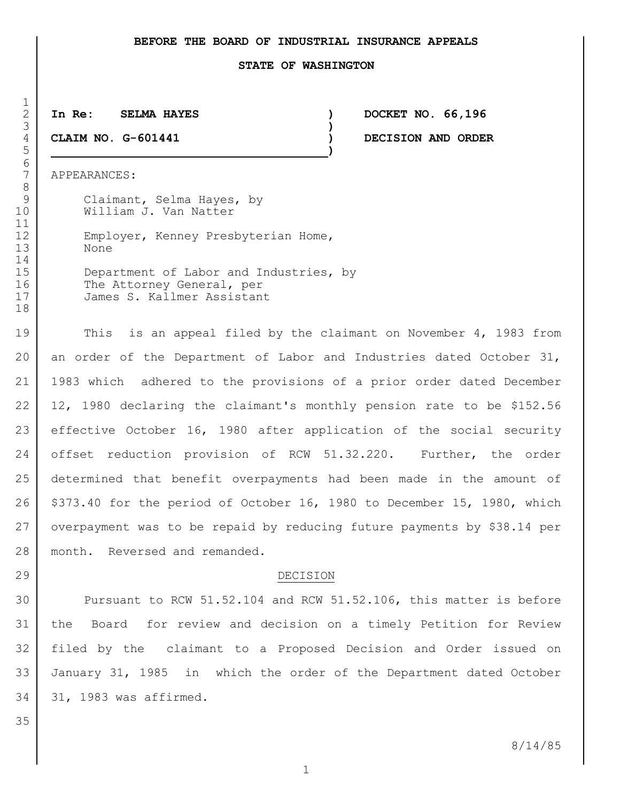### **BEFORE THE BOARD OF INDUSTRIAL INSURANCE APPEALS**

#### **STATE OF WASHINGTON**

# **)**

**)**

 **In Re: SELMA HAYES ) DOCKET NO. 66,196 CLAIM NO. G-601441 ) DECISION AND ORDER**

APPEARANCES:

 $\frac{1}{2}$ 

6<br>7

9 | Claimant, Selma Hayes, by 10 William J. Van Natter 12 | Employer, Kenney Presbyterian Home, None 15 Department of Labor and Industries, by 16 The Attorney General, per James S. Kallmer Assistant

19 This is an appeal filed by the claimant on November 4, 1983 from an order of the Department of Labor and Industries dated October 31, 1983 which adhered to the provisions of a prior order dated December 12, 1980 declaring the claimant's monthly pension rate to be \$152.56 effective October 16, 1980 after application of the social security 24 offset reduction provision of RCW 51.32.220. Further, the order determined that benefit overpayments had been made in the amount of \$373.40 for the period of October 16, 1980 to December 15, 1980, which overpayment was to be repaid by reducing future payments by \$38.14 per 28 | month. Reversed and remanded.

### 29 DECISION

30 Pursuant to RCW 51.52.104 and RCW 51.52.106, this matter is before the Board for review and decision on a timely Petition for Review filed by the claimant to a Proposed Decision and Order issued on January 31, 1985 in which the order of the Department dated October 31, 1983 was affirmed.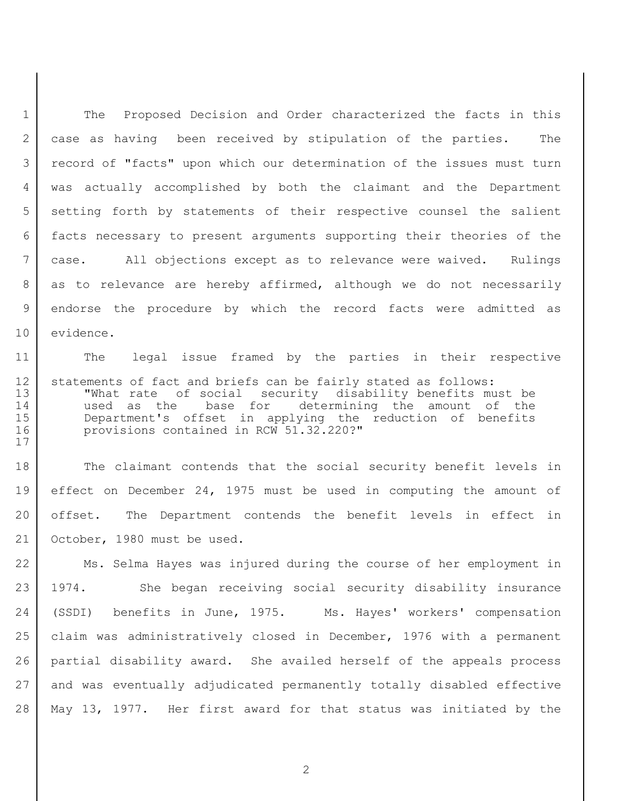1 The Proposed Decision and Order characterized the facts in this 2 | case as having been received by stipulation of the parties. The record of "facts" upon which our determination of the issues must turn was actually accomplished by both the claimant and the Department 5 | setting forth by statements of their respective counsel the salient facts necessary to present arguments supporting their theories of the case. All objections except as to relevance were waived. Rulings 8 as to relevance are hereby affirmed, although we do not necessarily endorse the procedure by which the record facts were admitted as 10 evidence.

 The legal issue framed by the parties in their respective 12 | statements of fact and briefs can be fairly stated as follows: "What rate of social security disability benefits must be used as the base for determining the amount of the Department's offset in applying the reduction of benefits provisions contained in RCW 51.32.220?"

18 The claimant contends that the social security benefit levels in effect on December 24, 1975 must be used in computing the amount of offset. The Department contends the benefit levels in effect in October, 1980 must be used.

22 Ms. Selma Hayes was injured during the course of her employment in 1974. She began receiving social security disability insurance (SSDI) benefits in June, 1975. Ms. Hayes' workers' compensation claim was administratively closed in December, 1976 with a permanent partial disability award. She availed herself of the appeals process and was eventually adjudicated permanently totally disabled effective May 13, 1977. Her first award for that status was initiated by the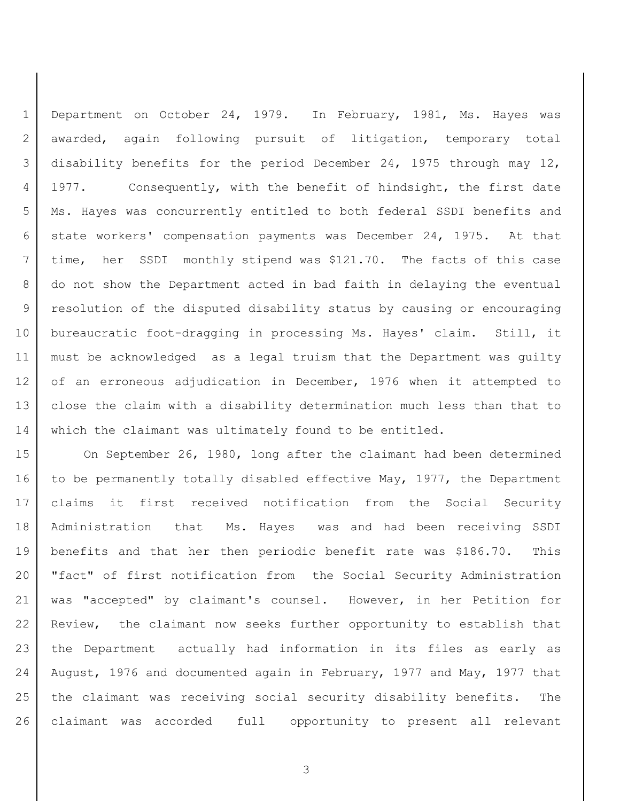Department on October 24, 1979. In February, 1981, Ms. Hayes was awarded, again following pursuit of litigation, temporary total disability benefits for the period December 24, 1975 through may 12, 1977. Consequently, with the benefit of hindsight, the first date Ms. Hayes was concurrently entitled to both federal SSDI benefits and state workers' compensation payments was December 24, 1975. At that time, her SSDI monthly stipend was \$121.70. The facts of this case 8 | do not show the Department acted in bad faith in delaying the eventual resolution of the disputed disability status by causing or encouraging bureaucratic foot-dragging in processing Ms. Hayes' claim. Still, it must be acknowledged as a legal truism that the Department was guilty of an erroneous adjudication in December, 1976 when it attempted to close the claim with a disability determination much less than that to 14 which the claimant was ultimately found to be entitled.

15 On September 26, 1980, long after the claimant had been determined 16 to be permanently totally disabled effective May, 1977, the Department claims it first received notification from the Social Security Administration that Ms. Hayes was and had been receiving SSDI benefits and that her then periodic benefit rate was \$186.70. This "fact" of first notification from the Social Security Administration was "accepted" by claimant's counsel. However, in her Petition for Review, the claimant now seeks further opportunity to establish that the Department actually had information in its files as early as August, 1976 and documented again in February, 1977 and May, 1977 that the claimant was receiving social security disability benefits. The claimant was accorded full opportunity to present all relevant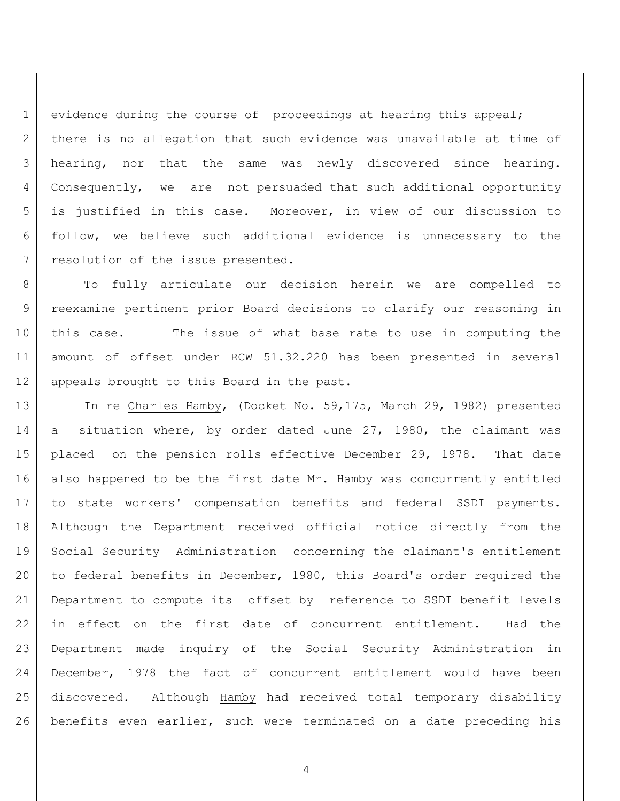1 evidence during the course of proceedings at hearing this appeal; 2 | there is no allegation that such evidence was unavailable at time of hearing, nor that the same was newly discovered since hearing. Consequently, we are not persuaded that such additional opportunity is justified in this case. Moreover, in view of our discussion to follow, we believe such additional evidence is unnecessary to the 7 resolution of the issue presented.

 To fully articulate our decision herein we are compelled to reexamine pertinent prior Board decisions to clarify our reasoning in this case. The issue of what base rate to use in computing the amount of offset under RCW 51.32.220 has been presented in several 12 | appeals brought to this Board in the past.

13 | In re Charles Hamby, (Docket No. 59,175, March 29, 1982) presented 14 a situation where, by order dated June 27, 1980, the claimant was placed on the pension rolls effective December 29, 1978. That date 16 also happened to be the first date Mr. Hamby was concurrently entitled 17 to state workers' compensation benefits and federal SSDI payments. Although the Department received official notice directly from the Social Security Administration concerning the claimant's entitlement 20 to federal benefits in December, 1980, this Board's order required the Department to compute its offset by reference to SSDI benefit levels in effect on the first date of concurrent entitlement. Had the Department made inquiry of the Social Security Administration in 24 December, 1978 the fact of concurrent entitlement would have been discovered. Although Hamby had received total temporary disability benefits even earlier, such were terminated on a date preceding his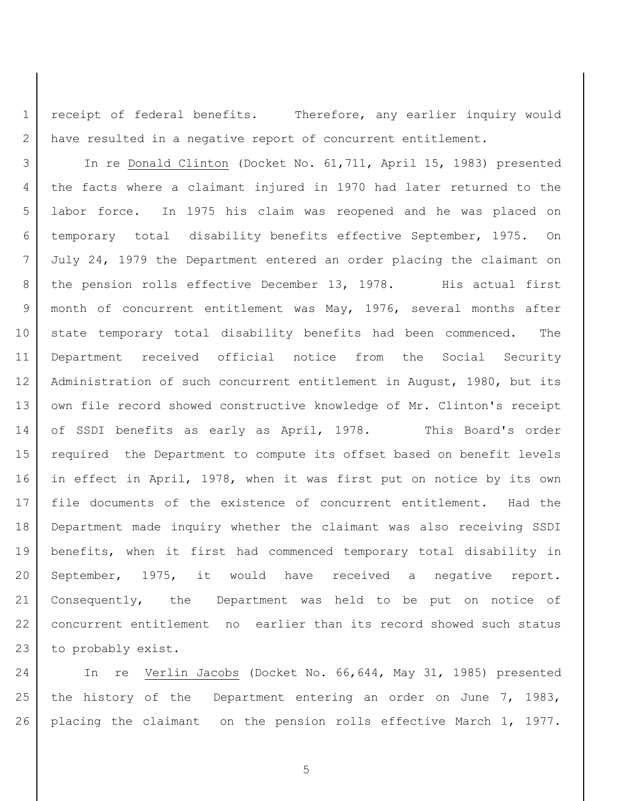1 | receipt of federal benefits. Therefore, any earlier inquiry would 2 have resulted in a negative report of concurrent entitlement.

 In re Donald Clinton (Docket No. 61,711, April 15, 1983) presented the facts where a claimant injured in 1970 had later returned to the labor force. In 1975 his claim was reopened and he was placed on temporary total disability benefits effective September, 1975. On July 24, 1979 the Department entered an order placing the claimant on 8 | the pension rolls effective December 13, 1978. His actual first 9 | month of concurrent entitlement was May, 1976, several months after 10 state temporary total disability benefits had been commenced. The Department received official notice from the Social Security Administration of such concurrent entitlement in August, 1980, but its 13 | own file record showed constructive knowledge of Mr. Clinton's receipt of SSDI benefits as early as April, 1978. This Board's order required the Department to compute its offset based on benefit levels in effect in April, 1978, when it was first put on notice by its own file documents of the existence of concurrent entitlement. Had the Department made inquiry whether the claimant was also receiving SSDI benefits, when it first had commenced temporary total disability in September, 1975, it would have received a negative report. Consequently, the Department was held to be put on notice of concurrent entitlement no earlier than its record showed such status 23 to probably exist.

24 In re Verlin Jacobs (Docket No. 66,644, May 31, 1985) presented 25 | the history of the Department entering an order on June 7, 1983, placing the claimant on the pension rolls effective March 1, 1977.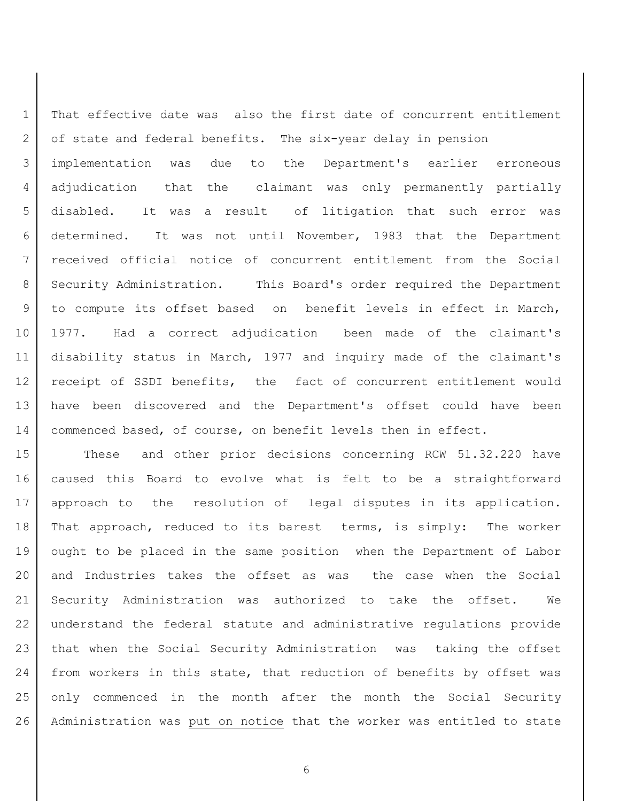That effective date was also the first date of concurrent entitlement 2 of state and federal benefits. The six-year delay in pension implementation was due to the Department's earlier erroneous adjudication that the claimant was only permanently partially disabled. It was a result of litigation that such error was determined. It was not until November, 1983 that the Department received official notice of concurrent entitlement from the Social 8 Security Administration. This Board's order required the Department 9 to compute its offset based on benefit levels in effect in March, 1977. Had a correct adjudication been made of the claimant's disability status in March, 1977 and inquiry made of the claimant's receipt of SSDI benefits, the fact of concurrent entitlement would have been discovered and the Department's offset could have been 14 | commenced based, of course, on benefit levels then in effect.

15 These and other prior decisions concerning RCW 51.32.220 have caused this Board to evolve what is felt to be a straightforward 17 approach to the resolution of legal disputes in its application. 18 | That approach, reduced to its barest terms, is simply: The worker ought to be placed in the same position when the Department of Labor and Industries takes the offset as was the case when the Social Security Administration was authorized to take the offset. We understand the federal statute and administrative regulations provide that when the Social Security Administration was taking the offset 24 from workers in this state, that reduction of benefits by offset was only commenced in the month after the month the Social Security Administration was put on notice that the worker was entitled to state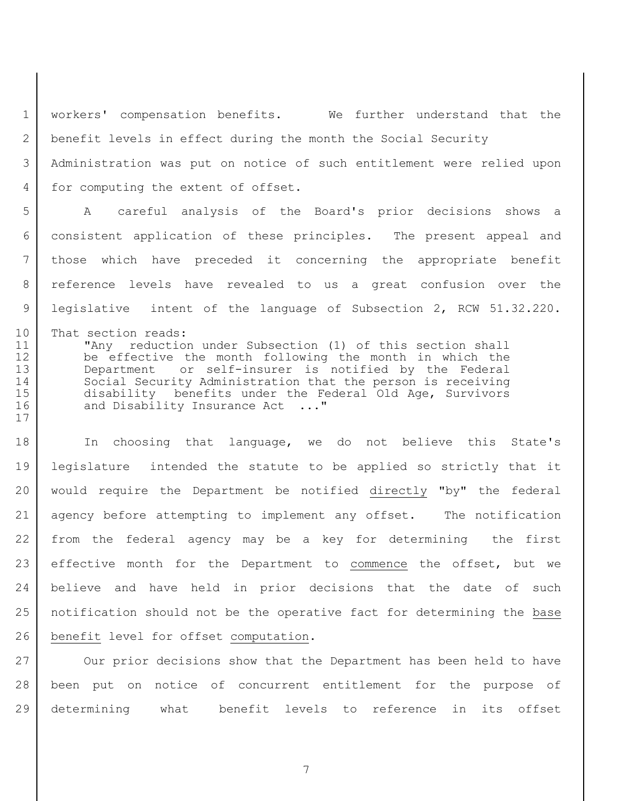1 | workers' compensation benefits. We further understand that the benefit levels in effect during the month the Social Security Administration was put on notice of such entitlement were relied upon 4 for computing the extent of offset.

 A careful analysis of the Board's prior decisions shows a consistent application of these principles. The present appeal and those which have preceded it concerning the appropriate benefit reference levels have revealed to us a great confusion over the legislative intent of the language of Subsection 2, RCW 51.32.220.

10 That section reads: "Any reduction under Subsection (1) of this section shall be effective the month following the month in which the Department or self-insurer is notified by the Federal 14 Social Security Administration that the person is receiving disability benefits under the Federal Old Age, Survivors 16 and Disability Insurance Act ..."

18 In choosing that language, we do not believe this State's legislature intended the statute to be applied so strictly that it would require the Department be notified directly "by" the federal agency before attempting to implement any offset. The notification from the federal agency may be a key for determining the first 23 effective month for the Department to commence the offset, but we believe and have held in prior decisions that the date of such notification should not be the operative fact for determining the base 26 | benefit level for offset computation.

27 Our prior decisions show that the Department has been held to have been put on notice of concurrent entitlement for the purpose of determining what benefit levels to reference in its offset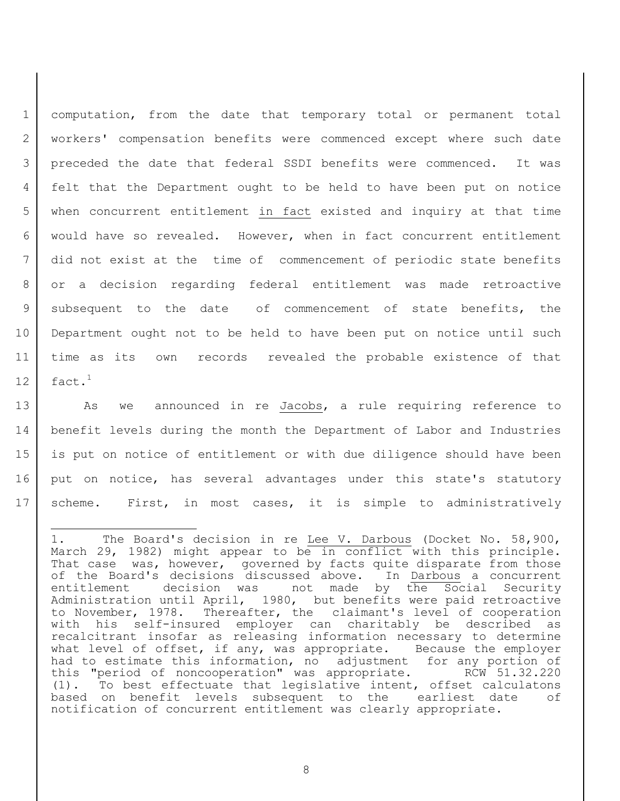computation, from the date that temporary total or permanent total workers' compensation benefits were commenced except where such date preceded the date that federal SSDI benefits were commenced. It was felt that the Department ought to be held to have been put on notice when concurrent entitlement in fact existed and inquiry at that time would have so revealed. However, when in fact concurrent entitlement did not exist at the time of commencement of periodic state benefits or a decision regarding federal entitlement was made retroactive 9 | subsequent to the date of commencement of state benefits, the Department ought not to be held to have been put on notice until such time as its own records revealed the probable existence of that 12 |  $\text{fact.}^1$ 

13 | As we announced in re Jacobs, a rule requiring reference to 14 benefit levels during the month the Department of Labor and Industries 15 is put on notice of entitlement or with due diligence should have been 16 put on notice, has several advantages under this state's statutory 17 scheme. First, in most cases, it is simple to administratively

ı.

<sup>1.</sup> The Board's decision in re Lee V. Darbous (Docket No. 58,900, March 29, 1982) might appear to be in conflict with this principle. That case was, however, governed by facts quite disparate from those of the Board's decisions discussed above. In Darbous a concurrent entitlement decision was not made by the Social Security Administration until April, 1980, but benefits were paid retroactive to November, 1978. Thereafter, the claimant's level of cooperation with his self-insured employer can charitably be described as recalcitrant insofar as releasing information necessary to determine what level of offset, if any, was appropriate. Because the employer had to estimate this information, no adjustment for any portion of this "period of noncooperation" was appropriate. RCW 51.32.220 (1). To best effectuate that legislative intent, offset calculatons based on benefit levels subsequent to the earliest date of notification of concurrent entitlement was clearly appropriate.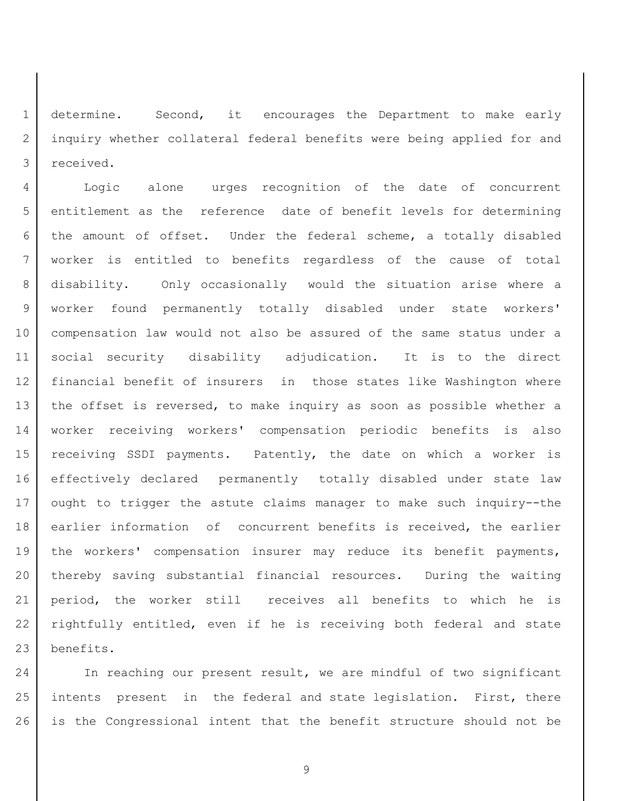determine. Second, it encourages the Department to make early inquiry whether collateral federal benefits were being applied for and received.

 Logic alone urges recognition of the date of concurrent entitlement as the reference date of benefit levels for determining 6 | the amount of offset. Under the federal scheme, a totally disabled worker is entitled to benefits regardless of the cause of total disability. Only occasionally would the situation arise where a worker found permanently totally disabled under state workers' compensation law would not also be assured of the same status under a social security disability adjudication. It is to the direct financial benefit of insurers in those states like Washington where 13 the offset is reversed, to make inquiry as soon as possible whether a worker receiving workers' compensation periodic benefits is also receiving SSDI payments. Patently, the date on which a worker is effectively declared permanently totally disabled under state law ought to trigger the astute claims manager to make such inquiry--the 18 earlier information of concurrent benefits is received, the earlier 19 | the workers' compensation insurer may reduce its benefit payments, thereby saving substantial financial resources. During the waiting period, the worker still receives all benefits to which he is rightfully entitled, even if he is receiving both federal and state benefits.

24 In reaching our present result, we are mindful of two significant intents present in the federal and state legislation. First, there is the Congressional intent that the benefit structure should not be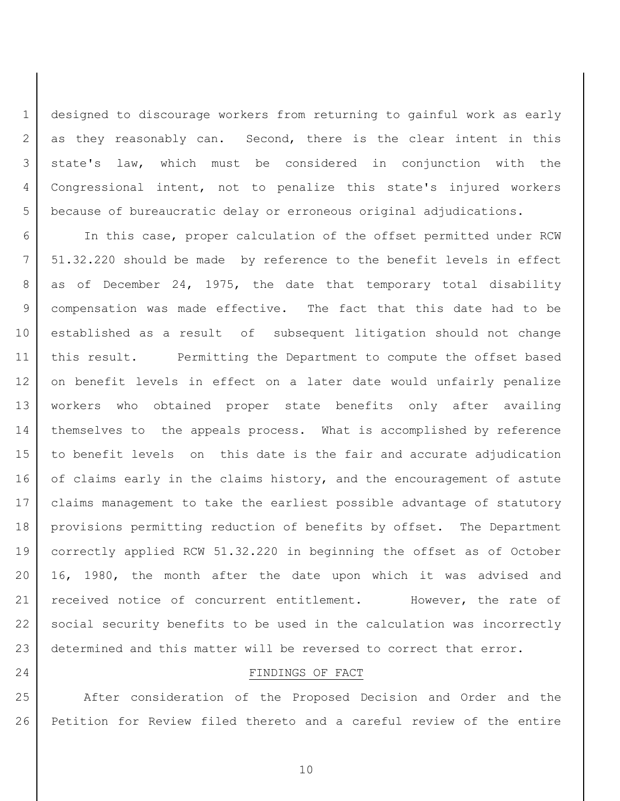designed to discourage workers from returning to gainful work as early 2 as they reasonably can. Second, there is the clear intent in this state's law, which must be considered in conjunction with the Congressional intent, not to penalize this state's injured workers because of bureaucratic delay or erroneous original adjudications.

 In this case, proper calculation of the offset permitted under RCW 51.32.220 should be made by reference to the benefit levels in effect 8 as of December 24, 1975, the date that temporary total disability compensation was made effective. The fact that this date had to be established as a result of subsequent litigation should not change this result. Permitting the Department to compute the offset based on benefit levels in effect on a later date would unfairly penalize workers who obtained proper state benefits only after availing themselves to the appeals process. What is accomplished by reference to benefit levels on this date is the fair and accurate adjudication 16 of claims early in the claims history, and the encouragement of astute claims management to take the earliest possible advantage of statutory 18 | provisions permitting reduction of benefits by offset. The Department correctly applied RCW 51.32.220 in beginning the offset as of October 16, 1980, the month after the date upon which it was advised and 21 | received notice of concurrent entitlement. However, the rate of social security benefits to be used in the calculation was incorrectly 23 determined and this matter will be reversed to correct that error.

## 24 FINDINGS OF FACT

25 After consideration of the Proposed Decision and Order and the Petition for Review filed thereto and a careful review of the entire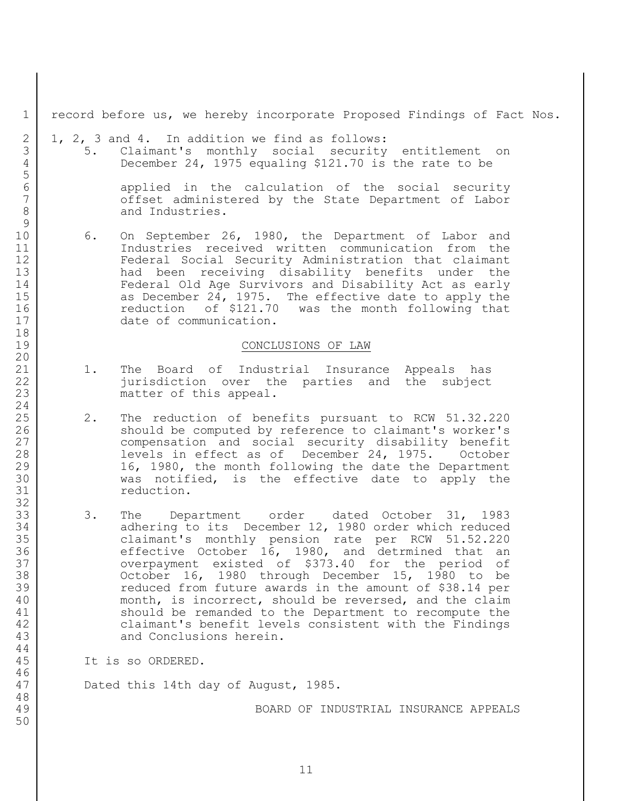record before us, we hereby incorporate Proposed Findings of Fact Nos.

 $2 \mid 1, 2, 3$  and 4. In addition we find as follows:

 5. Claimant's monthly social security entitlement on December 24, 1975 equaling \$121.70 is the rate to be

6 applied in the calculation of the social security 7 | Coffset administered by the State Department of Labor 8 and Industries.

 6. On September 26, 1980, the Department of Labor and Industries received written communication from the Federal Social Security Administration that claimant had been receiving disability benefits under the Federal Old Age Survivors and Disability Act as early 15 as December 24, 1975. The effective date to apply the 16 reduction of \$121.70 was the month following that 17 date of communication.

### CONCLUSIONS OF LAW

- 21 | 1. The Board of Industrial Insurance Appeals has jurisdiction over the parties and the subject 23 | matter of this appeal.
- 25 2. The reduction of benefits pursuant to RCW 51.32.220 26 should be computed by reference to claimant's worker's 27 compensation and social security disability benefit 28 | The Revels in effect as of December 24, 1975. October 29 16, 1980, the month following the date the Department was notified, is the effective date to apply the 31 reduction.
- 33 3. The Department order dated October 31, 1983 34 adhering to its December 12, 1980 order which reduced claimant's monthly pension rate per RCW 51.52.220 effective October 16, 1980, and detrmined that an overpayment existed of \$373.40 for the period of October 16, 1980 through December 15, 1980 to be reduced from future awards in the amount of \$38.14 per 40 month, is incorrect, should be reversed, and the claim should be remanded to the Department to recompute the claimant's benefit levels consistent with the Findings 43 and Conclusions herein.

It is so ORDERED.

Dated this 14th day of August, 1985.

BOARD OF INDUSTRIAL INSURANCE APPEALS